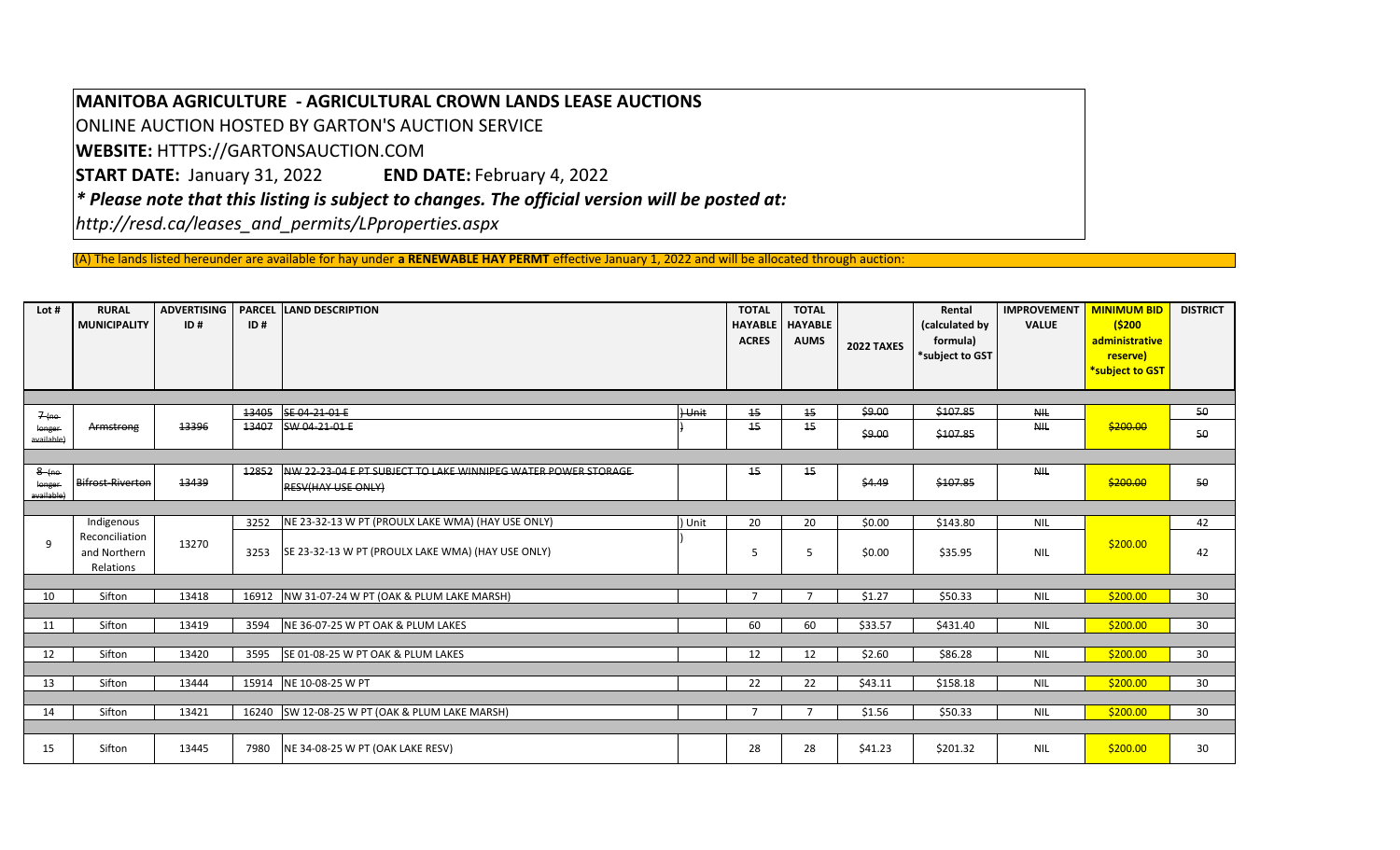## **MANITOBA AGRICULTURE ‐ AGRICULTURAL CROWN LANDS LEASE AUCTIONS**

ONLINE AUCTION HOSTED BY GARTON'S AUCTION SERVICE

**WEBSITE:** HTTPS://GARTONSAUCTION.COM

**START DATE: January 31, 2022 END DATE:** February 4, 2022

*\* Please note that this listing is subject to changes. The official version will be posted at:*

*http://resd.ca/leases\_and\_permits/LPproperties.aspx*

(A) The lands listed hereunder are available for hay under **<sup>a</sup> RENEWABLE HAY PERMT** effective January 1, 2022 and will be allocated through auction:

| Lot #                           | <b>RURAL</b><br><b>MUNICIPALITY</b>         | <b>ADVERTISING</b><br>ID# | <b>PARCEL</b><br>ID# | <b>LAND DESCRIPTION</b>                                                                    |       | <b>TOTAL</b><br><b>HAYABLE</b><br><b>ACRES</b> | <b>TOTAL</b><br><b>HAYABLE</b><br><b>AUMS</b> | 2022 TAXES | Rental<br>(calculated by<br>formula)<br>*subject to GST | <b>IMPROVEMENT</b><br><b>VALUE</b> | <b>MINIMUM BID</b><br>(5200)<br>administrative<br>reserve)<br>*subject to GST | <b>DISTRICT</b> |
|---------------------------------|---------------------------------------------|---------------------------|----------------------|--------------------------------------------------------------------------------------------|-------|------------------------------------------------|-----------------------------------------------|------------|---------------------------------------------------------|------------------------------------|-------------------------------------------------------------------------------|-----------------|
|                                 |                                             |                           |                      |                                                                                            |       |                                                |                                               |            |                                                         |                                    |                                                                               |                 |
| $7(mo -$                        |                                             |                           | 13405                | SE 04-21-01-E                                                                              | Hunit | 15                                             | 15                                            | \$9.00     | \$107.85                                                | <b>NIL</b>                         |                                                                               | 50              |
| longer<br>available)            | Armstrong                                   | 13396                     | 13407                | SW 04-21-01-E                                                                              |       | 15                                             | 15                                            | \$9.00     | \$107.85                                                | <b>NIL</b>                         | \$200.00                                                                      | 50              |
|                                 |                                             |                           |                      |                                                                                            |       |                                                |                                               |            |                                                         |                                    |                                                                               |                 |
| $8$ (no<br>longer<br>available) | <b>Bifrost-Riverton</b>                     | 13439                     | 12852                | NW 22-23-04 E PT SUBJECT TO LAKE WINNIPEG WATER POWER STORAGE<br><b>RESV(HAY USE ONLY)</b> |       | 15                                             | 15                                            | \$4.49     | \$107.85                                                | <b>NIL</b>                         | \$200.00                                                                      | 50              |
|                                 |                                             |                           |                      |                                                                                            |       |                                                |                                               |            |                                                         |                                    |                                                                               |                 |
|                                 | Indigenous                                  |                           | 3252                 | NE 23-32-13 W PT (PROULX LAKE WMA) (HAY USE ONLY)                                          | Unit  | 20                                             | 20                                            | \$0.00     | \$143.80                                                | NIL                                |                                                                               | 42              |
| q                               | Reconciliation<br>and Northern<br>Relations | 13270                     | 3253                 | SE 23-32-13 W PT (PROULX LAKE WMA) (HAY USE ONLY)                                          |       | 5                                              | 5                                             | \$0.00     | \$35.95                                                 | <b>NIL</b>                         | \$200.00                                                                      | 42              |
|                                 |                                             |                           |                      |                                                                                            |       |                                                |                                               |            |                                                         |                                    |                                                                               |                 |
| 10                              | Sifton                                      | 13418                     |                      | 16912 NW 31-07-24 W PT (OAK & PLUM LAKE MARSH)                                             |       | $\overline{ }$                                 | $\overline{ }$                                | \$1.27     | \$50.33                                                 | <b>NIL</b>                         | \$200.00                                                                      | 30              |
|                                 |                                             |                           |                      |                                                                                            |       |                                                |                                               |            |                                                         |                                    |                                                                               |                 |
| 11                              | Sifton                                      | 13419                     | 3594                 | NE 36-07-25 W PT OAK & PLUM LAKES                                                          |       | 60                                             | 60                                            | \$33.57    | \$431.40                                                | <b>NIL</b>                         | \$200.00                                                                      | 30              |
| 12                              | Sifton                                      | 13420                     | 3595                 | SE 01-08-25 W PT OAK & PLUM LAKES                                                          |       | 12                                             | 12                                            | \$2.60     | \$86.28                                                 | <b>NIL</b>                         | \$200.00                                                                      | 30              |
|                                 |                                             |                           |                      |                                                                                            |       |                                                |                                               |            |                                                         |                                    |                                                                               |                 |
| 13                              | Sifton                                      | 13444                     | 15914                | NE 10-08-25 W PT                                                                           |       | 22                                             | 22                                            | \$43.11    | \$158.18                                                | <b>NIL</b>                         | \$200.00                                                                      | 30              |
| 14                              | Sifton                                      | 13421                     |                      | 16240 SW 12-08-25 W PT (OAK & PLUM LAKE MARSH)                                             |       | $\overline{7}$                                 | $\overline{7}$                                | \$1.56     | \$50.33                                                 | <b>NIL</b>                         | \$200.00                                                                      | 30              |
| 15                              | Sifton                                      | 13445                     | 7980                 | NE 34-08-25 W PT (OAK LAKE RESV)                                                           |       | 28                                             | 28                                            | \$41.23    | \$201.32                                                | <b>NIL</b>                         | \$200.00                                                                      | 30              |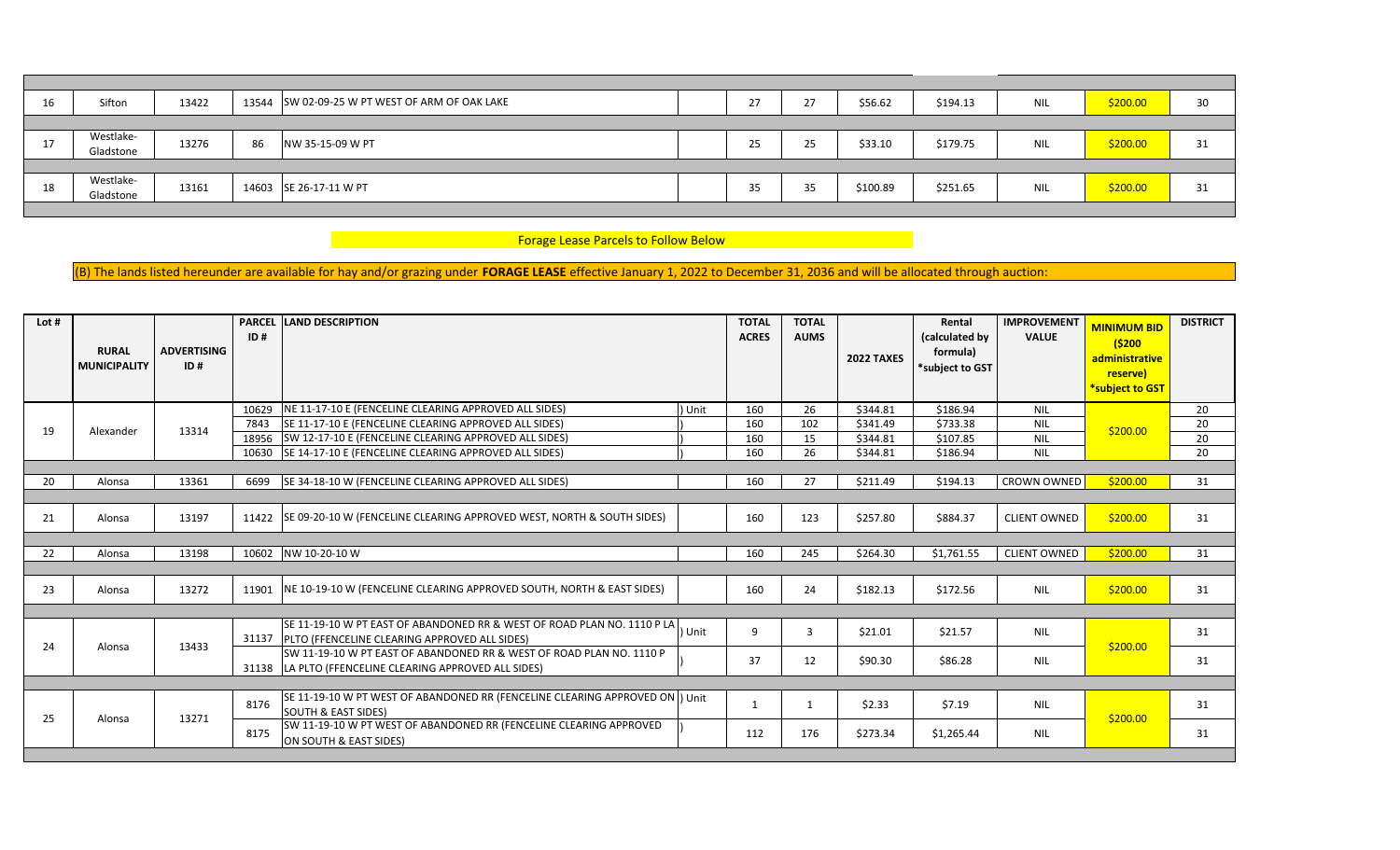| 16 | Sifton                 | 13422 |    | 13544 SW 02-09-25 W PT WEST OF ARM OF OAK LAKE | า−<br>ر ے | 27 | \$56.62  | \$194.13 | <b>NIL</b> | \$200.00 | 30 |
|----|------------------------|-------|----|------------------------------------------------|-----------|----|----------|----------|------------|----------|----|
|    |                        |       |    |                                                |           |    |          |          |            |          |    |
| 17 | Westlake-<br>Gladstone | 13276 | 86 | NW 35-15-09 W PT                               | 25        | 25 | \$33.10  | \$179.75 | <b>NIL</b> | \$200.00 | 31 |
|    |                        |       |    |                                                |           |    |          |          |            |          |    |
| 18 | Westlake-<br>Gladstone | 13161 |    | 14603 SE 26-17-11 W PT                         | 35        | 35 | \$100.89 | \$251.65 | <b>NIL</b> | \$200.00 | 31 |
|    |                        |       |    |                                                |           |    |          |          |            |          |    |

**Forage Lease Parcels to Follow Below** 

(B) The lands listed hereunder are available for hay and/or grazing under FORAGE LEASE effective January 1, 2022 to December 31, 2036 and will be allocated through auction:

| Lot # | <b>RURAL</b><br><b>MUNICIPALITY</b> | <b>ADVERTISING</b><br>ID# | ID#   | <b>PARCEL LAND DESCRIPTION</b>                                                                                                   |      | <b>TOTAL</b><br><b>ACRES</b> | <b>TOTAL</b><br><b>AUMS</b> | <b>2022 TAXES</b> | Rental<br>(calculated by<br>formula)<br>*subject to GST | <b>IMPROVEMENT</b><br><b>VALUE</b> | <b>MINIMUM BID</b><br>(5200<br>administrative<br>reserve)<br>*subject to GST | <b>DISTRICT</b> |
|-------|-------------------------------------|---------------------------|-------|----------------------------------------------------------------------------------------------------------------------------------|------|------------------------------|-----------------------------|-------------------|---------------------------------------------------------|------------------------------------|------------------------------------------------------------------------------|-----------------|
|       |                                     |                           | 10629 | NE 11-17-10 E (FENCELINE CLEARING APPROVED ALL SIDES)                                                                            | Unit | 160                          | 26                          | \$344.81          | \$186.94                                                | <b>NIL</b>                         |                                                                              | 20              |
| 19    | Alexander                           | 13314                     | 7843  | SE 11-17-10 E (FENCELINE CLEARING APPROVED ALL SIDES)                                                                            |      | 160                          | 102                         | \$341.49          | \$733.38                                                | <b>NIL</b>                         | \$200.00                                                                     | 20              |
|       |                                     |                           | 18956 | SW 12-17-10 E (FENCELINE CLEARING APPROVED ALL SIDES)                                                                            |      | 160                          | 15                          | \$344.81          | \$107.85                                                | <b>NIL</b>                         |                                                                              | 20              |
|       |                                     |                           | 10630 | SE 14-17-10 E (FENCELINE CLEARING APPROVED ALL SIDES)                                                                            |      | 160                          | 26                          | \$344.81          | \$186.94                                                | <b>NIL</b>                         |                                                                              | 20              |
|       |                                     |                           |       |                                                                                                                                  |      |                              |                             |                   |                                                         |                                    |                                                                              |                 |
| 20    | Alonsa                              | 13361                     | 6699  | SE 34-18-10 W (FENCELINE CLEARING APPROVED ALL SIDES)                                                                            |      | 160                          | 27                          | \$211.49          | \$194.13                                                | <b>CROWN OWNED</b>                 | \$200.00                                                                     | 31              |
|       |                                     |                           |       |                                                                                                                                  |      |                              |                             |                   |                                                         |                                    |                                                                              |                 |
| 21    | Alonsa                              | 13197                     | 11422 | SE 09-20-10 W (FENCELINE CLEARING APPROVED WEST, NORTH & SOUTH SIDES)                                                            |      | 160                          | 123                         | \$257.80          | \$884.37                                                | <b>CLIENT OWNED</b>                | \$200.00                                                                     | 31              |
|       |                                     |                           |       |                                                                                                                                  |      |                              |                             |                   |                                                         |                                    |                                                                              |                 |
| 22    | Alonsa                              | 13198                     |       | 10602 NW 10-20-10 W                                                                                                              |      | 160                          | 245                         | \$264.30          | \$1,761.55                                              | <b>CLIENT OWNED</b>                | \$200.00                                                                     | 31              |
|       |                                     |                           |       |                                                                                                                                  |      |                              |                             |                   |                                                         |                                    |                                                                              |                 |
| 23    | Alonsa                              | 13272                     | 11901 | NE 10-19-10 W (FENCELINE CLEARING APPROVED SOUTH, NORTH & EAST SIDES)                                                            |      | 160                          | 24                          | \$182.13          | \$172.56                                                | <b>NIL</b>                         | \$200.00                                                                     | 31              |
|       |                                     |                           |       |                                                                                                                                  |      |                              |                             |                   |                                                         |                                    |                                                                              |                 |
|       |                                     |                           | 31137 | SE 11-19-10 W PT EAST OF ABANDONED RR & WEST OF ROAD PLAN NO. 1110 P LA<br><b>IPLTO (FFENCELINE CLEARING APPROVED ALL SIDES)</b> | Unit | 9                            | 3                           | \$21.01           | \$21.57                                                 | <b>NIL</b>                         |                                                                              | 31              |
| 24    | Alonsa                              | 13433                     |       | SW 11-19-10 W PT EAST OF ABANDONED RR & WEST OF ROAD PLAN NO. 1110 P<br>31138  LA PLTO (FFENCELINE CLEARING APPROVED ALL SIDES)  |      | 37                           | 12                          | \$90.30           | \$86.28                                                 | <b>NIL</b>                         | \$200.00                                                                     | 31              |
|       |                                     |                           |       |                                                                                                                                  |      |                              |                             |                   |                                                         |                                    |                                                                              |                 |
|       |                                     |                           | 8176  | SE 11-19-10 W PT WEST OF ABANDONED RR (FENCELINE CLEARING APPROVED ON  ) Unit<br><b>SOUTH &amp; EAST SIDES)</b>                  |      |                              | 1                           | \$2.33            | \$7.19                                                  | NIL                                |                                                                              | 31              |
| 25    | Alonsa                              | 13271                     | 8175  | SW 11-19-10 W PT WEST OF ABANDONED RR (FENCELINE CLEARING APPROVED<br>ON SOUTH & EAST SIDES)                                     |      | 112                          | 176                         | \$273.34          | \$1,265.44                                              | <b>NIL</b>                         | \$200.00                                                                     | 31              |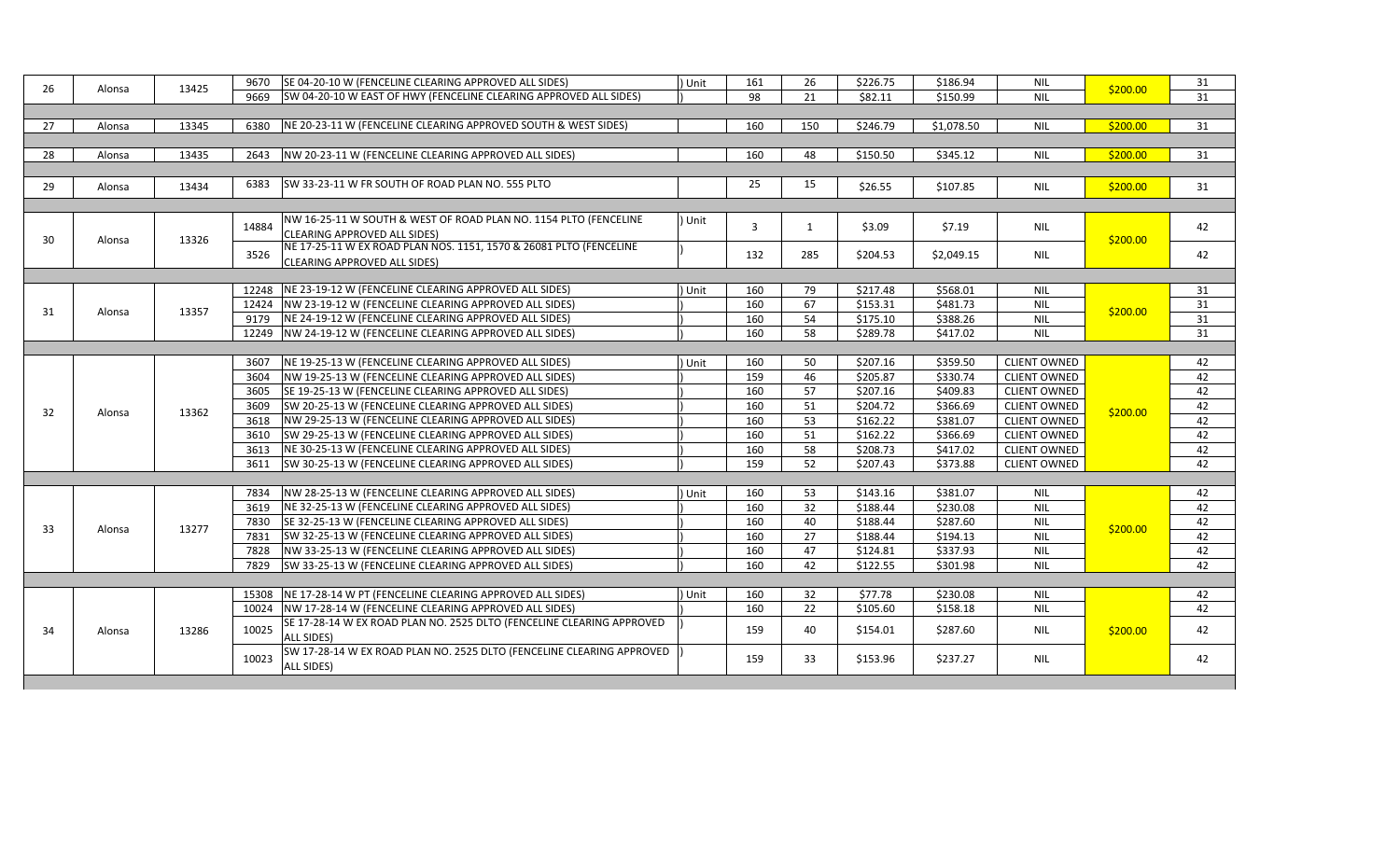|    |        |       | SE 04-20-10 W (FENCELINE CLEARING APPROVED ALL SIDES)<br>9670                                        | Unit   | 161                                                           | 26  | \$226.75                                                      | \$186.94                                                      | <b>NIL</b>          |          | 31                  |          |                     |            |    |    |
|----|--------|-------|------------------------------------------------------------------------------------------------------|--------|---------------------------------------------------------------|-----|---------------------------------------------------------------|---------------------------------------------------------------|---------------------|----------|---------------------|----------|---------------------|------------|----|----|
| 26 | Alonsa | 13425 | SW 04-20-10 W EAST OF HWY (FENCELINE CLEARING APPROVED ALL SIDES)<br>9669                            |        | 98                                                            | 21  | \$82.11                                                       | \$150.99                                                      | <b>NIL</b>          | \$200.00 | 31                  |          |                     |            |    |    |
|    |        |       |                                                                                                      |        |                                                               |     |                                                               |                                                               |                     |          |                     |          |                     |            |    |    |
| 27 | Alonsa | 13345 | NE 20-23-11 W (FENCELINE CLEARING APPROVED SOUTH & WEST SIDES)<br>6380                               |        | 160                                                           | 150 | \$246.79                                                      | \$1,078.50                                                    | <b>NIL</b>          | \$200.00 | 31                  |          |                     |            |    |    |
|    |        |       |                                                                                                      |        |                                                               |     |                                                               |                                                               |                     |          |                     |          |                     |            |    |    |
| 28 | Alonsa | 13435 | NW 20-23-11 W (FENCELINE CLEARING APPROVED ALL SIDES)<br>2643                                        |        | 160                                                           | 48  | \$150.50                                                      | \$345.12                                                      | <b>NIL</b>          | \$200.00 | 31                  |          |                     |            |    |    |
|    |        |       |                                                                                                      |        |                                                               |     |                                                               |                                                               |                     |          |                     |          |                     |            |    |    |
| 29 | Alonsa | 13434 | SW 33-23-11 W FR SOUTH OF ROAD PLAN NO. 555 PLTO<br>6383                                             |        | 25                                                            | 15  | \$26.55                                                       | \$107.85                                                      | <b>NIL</b>          | \$200.00 | 31                  |          |                     |            |    |    |
|    |        |       |                                                                                                      |        |                                                               |     |                                                               |                                                               |                     |          |                     |          |                     |            |    |    |
|    |        |       | NW 16-25-11 W SOUTH & WEST OF ROAD PLAN NO. 1154 PLTO (FENCELINE                                     | ) Unit |                                                               |     |                                                               |                                                               |                     |          |                     |          |                     |            |    |    |
|    |        |       | 14884<br>CLEARING APPROVED ALL SIDES)                                                                |        | $\overline{3}$                                                | 1   | \$3.09                                                        | \$7.19                                                        | <b>NIL</b>          |          | 42                  |          |                     |            |    |    |
| 30 | Alonsa | 13326 | NE 17-25-11 W EX ROAD PLAN NOS. 1151, 1570 & 26081 PLTO (FENCELINE                                   |        |                                                               |     |                                                               |                                                               |                     | \$200.00 |                     |          |                     |            |    |    |
|    |        |       | 3526<br>CLEARING APPROVED ALL SIDES)                                                                 |        | 132                                                           | 285 | \$204.53                                                      | \$2,049.15                                                    | <b>NIL</b>          |          | 42                  |          |                     |            |    |    |
|    |        |       |                                                                                                      |        |                                                               |     |                                                               |                                                               |                     |          |                     |          |                     |            |    |    |
|    |        |       | NE 23-19-12 W (FENCELINE CLEARING APPROVED ALL SIDES)<br>12248                                       | Unit   | 160                                                           | 79  | \$217.48                                                      | \$568.01                                                      | <b>NIL</b>          |          | 31                  |          |                     |            |    |    |
| 31 | Alonsa | 13357 | NW 23-19-12 W (FENCELINE CLEARING APPROVED ALL SIDES)<br>12424                                       |        | 160                                                           | 67  | \$153.31                                                      | \$481.73                                                      | <b>NIL</b>          | \$200.00 | 31                  |          |                     |            |    |    |
|    |        |       |                                                                                                      |        |                                                               |     |                                                               | NE 24-19-12 W (FENCELINE CLEARING APPROVED ALL SIDES)<br>9179 |                     | 160      | 54                  | \$175.10 | \$388.26            | <b>NIL</b> |    | 31 |
|    |        |       | NW 24-19-12 W (FENCELINE CLEARING APPROVED ALL SIDES)<br>12249                                       |        | 160                                                           | 58  | \$289.78                                                      | \$417.02                                                      | <b>NIL</b>          |          | 31                  |          |                     |            |    |    |
|    |        |       |                                                                                                      |        |                                                               |     |                                                               |                                                               |                     |          |                     |          |                     |            |    |    |
|    |        |       | NE 19-25-13 W (FENCELINE CLEARING APPROVED ALL SIDES)<br>3607                                        | Unit   | 160                                                           | 50  | \$207.16                                                      | \$359.50                                                      | <b>CLIENT OWNED</b> |          | 42                  |          |                     |            |    |    |
|    |        |       | NW 19-25-13 W (FENCELINE CLEARING APPROVED ALL SIDES)<br>3604                                        |        | 159                                                           | 46  | \$205.87                                                      | \$330.74                                                      | <b>CLIENT OWNED</b> |          | 42                  |          |                     |            |    |    |
|    |        |       | SE 19-25-13 W (FENCELINE CLEARING APPROVED ALL SIDES)<br>3605                                        |        | 160                                                           | 57  | \$207.16                                                      | \$409.83                                                      | <b>CLIENT OWNED</b> |          | 42                  |          |                     |            |    |    |
| 32 | Alonsa | 13362 | SW 20-25-13 W (FENCELINE CLEARING APPROVED ALL SIDES)<br>3609                                        |        | 160                                                           | 51  | \$204.72                                                      | \$366.69                                                      | <b>CLIENT OWNED</b> | \$200.00 | 42                  |          |                     |            |    |    |
|    |        |       | 3618<br>NW 29-25-13 W (FENCELINE CLEARING APPROVED ALL SIDES)                                        |        | 160                                                           | 53  | \$162.22                                                      | \$381.07                                                      | <b>CLIENT OWNED</b> |          | 42                  |          |                     |            |    |    |
|    |        |       |                                                                                                      |        |                                                               |     | 3610<br>SW 29-25-13 W (FENCELINE CLEARING APPROVED ALL SIDES) |                                                               | 160                 | 51       | \$162.22            | \$366.69 | <b>CLIENT OWNED</b> |            | 42 |    |
|    |        |       |                                                                                                      |        | NE 30-25-13 W (FENCELINE CLEARING APPROVED ALL SIDES)<br>3613 |     | 160                                                           | $\overline{58}$                                               | \$208.73            | \$417.02 | <b>CLIENT OWNED</b> |          | 42                  |            |    |    |
|    |        |       | SW 30-25-13 W (FENCELINE CLEARING APPROVED ALL SIDES)<br>3611                                        |        | 159                                                           | 52  | \$207.43                                                      | \$373.88                                                      | <b>CLIENT OWNED</b> |          | 42                  |          |                     |            |    |    |
|    |        |       |                                                                                                      |        |                                                               |     |                                                               |                                                               |                     |          |                     |          |                     |            |    |    |
|    |        |       | NW 28-25-13 W (FENCELINE CLEARING APPROVED ALL SIDES)<br>7834                                        | Unit   | 160                                                           | 53  | \$143.16                                                      | \$381.07                                                      | <b>NIL</b>          |          | 42                  |          |                     |            |    |    |
|    |        |       | 3619<br>NE 32-25-13 W (FENCELINE CLEARING APPROVED ALL SIDES)                                        |        | 160                                                           | 32  | \$188.44                                                      | \$230.08                                                      | <b>NIL</b>          |          | 42                  |          |                     |            |    |    |
| 33 | Alonsa | 13277 | 7830<br>SE 32-25-13 W (FENCELINE CLEARING APPROVED ALL SIDES)                                        |        | 160                                                           | 40  | \$188.44                                                      | \$287.60                                                      | <b>NIL</b>          | \$200.00 | 42                  |          |                     |            |    |    |
|    |        |       | SW 32-25-13 W (FENCELINE CLEARING APPROVED ALL SIDES)<br>7831                                        |        | 160                                                           | 27  | \$188.44                                                      | \$194.13                                                      | <b>NIL</b>          |          | 42                  |          |                     |            |    |    |
|    |        |       | NW 33-25-13 W (FENCELINE CLEARING APPROVED ALL SIDES)<br>7828                                        |        | 160                                                           | 47  | \$124.81                                                      | \$337.93                                                      | <b>NIL</b>          |          | 42                  |          |                     |            |    |    |
|    |        |       | SW 33-25-13 W (FENCELINE CLEARING APPROVED ALL SIDES)<br>7829                                        |        | 160                                                           | 42  | \$122.55                                                      | \$301.98                                                      | <b>NIL</b>          |          | 42                  |          |                     |            |    |    |
|    |        |       |                                                                                                      |        |                                                               |     |                                                               |                                                               |                     |          |                     |          |                     |            |    |    |
|    |        |       | 15308 NE 17-28-14 W PT (FENCELINE CLEARING APPROVED ALL SIDES)                                       | Unit   | 160                                                           | 32  | \$77.78                                                       | \$230.08                                                      | <b>NIL</b>          |          | 42                  |          |                     |            |    |    |
|    |        |       | NW 17-28-14 W (FENCELINE CLEARING APPROVED ALL SIDES)<br>10024                                       |        | 160                                                           | 22  | \$105.60                                                      | \$158.18                                                      | <b>NIL</b>          |          | 42                  |          |                     |            |    |    |
| 34 | Alonsa | 13286 | SE 17-28-14 W EX ROAD PLAN NO. 2525 DLTO (FENCELINE CLEARING APPROVED<br>10025<br><b>ALL SIDES</b> ) |        | 159                                                           | 40  | \$154.01                                                      | \$287.60                                                      | <b>NIL</b>          | \$200.00 | 42                  |          |                     |            |    |    |
|    |        |       | SW 17-28-14 W EX ROAD PLAN NO. 2525 DLTO (FENCELINE CLEARING APPROVED                                |        |                                                               |     |                                                               |                                                               |                     |          |                     |          |                     |            |    |    |
|    |        |       | 10023<br><b>ALL SIDES)</b>                                                                           |        | 159                                                           | 33  | \$153.96                                                      | \$237.27                                                      | <b>NIL</b>          |          | 42                  |          |                     |            |    |    |
|    |        |       |                                                                                                      |        |                                                               |     |                                                               |                                                               |                     |          |                     |          |                     |            |    |    |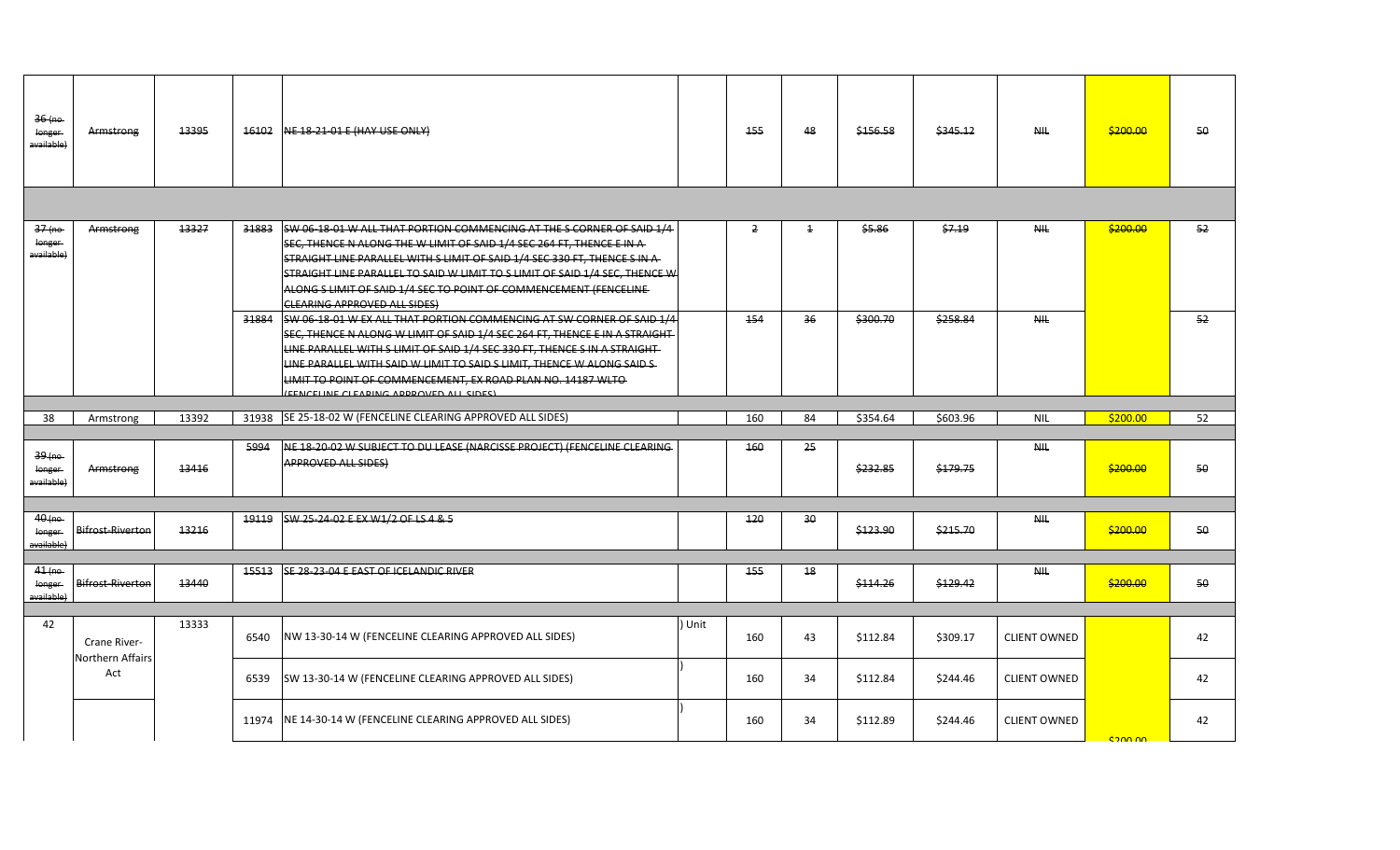| $36$ (no<br>longer<br>a <del>vailable)</del> | Armstrong               | 13395 | 16102 | NE 18-21-01 E (HAY USE ONLY)                                                                                                                                                                                                                                                                                                                                                                                                   |        | 155 | 48             | \$156.58 | \$345.12 | <b>NIL</b>          | \$200.00 | 50 |
|----------------------------------------------|-------------------------|-------|-------|--------------------------------------------------------------------------------------------------------------------------------------------------------------------------------------------------------------------------------------------------------------------------------------------------------------------------------------------------------------------------------------------------------------------------------|--------|-----|----------------|----------|----------|---------------------|----------|----|
|                                              |                         |       |       |                                                                                                                                                                                                                                                                                                                                                                                                                                |        |     |                |          |          |                     |          |    |
| $37$ (no<br>longer<br>available)             | Armstrong               | 13327 | 31883 | SW 06-18-01 W ALL THAT PORTION COMMENCING AT THE S CORNER OF SAID 1/4<br>SEC, THENCE N ALONG THE W LIMIT OF SAID 1/4 SEC 264 FT, THENCE E IN A<br>STRAIGHT LINE PARALLEL WITH S LIMIT OF SAID 1/4 SEC 330 FT, THENCE S IN A<br>STRAIGHT LINE PARALLEL TO SAID W LIMIT TO S LIMIT OF SAID 1/4 SEC, THENCE W<br>ALONG S LIMIT OF SAID 1/4 SEC TO POINT OF COMMENCEMENT (FENCELINE-<br><b>CLEARING APPROVED ALL SIDES)</b>        |        | 2   | $\overline{1}$ | \$5.86   | \$7.19   | N <sub>H</sub>      | \$200.00 | 52 |
|                                              |                         |       | 31884 | SW 06-18-01 W EX ALL THAT PORTION COMMENCING AT SW CORNER OF SAID 1/4<br>SEC, THENCE N ALONG W LIMIT OF SAID 1/4 SEC 264 FT, THENCE E IN A STRAIGHT-<br>LINE PARALLEL WITH S LIMIT OF SAID 1/4 SEC 330 FT, THENCE S IN A STRAIGHT-<br>LINE PARALLEL WITH SAID W LIMIT TO SAID S LIMIT. THENCE W ALONG SAID S-<br>LIMIT TO POINT OF COMMENCEMENT, EX ROAD PLAN NO. 14187 WLTO-<br><b>EENCELINE CLEADING ADDDOVED ALL SIDES)</b> |        | 154 | 36             | \$300.70 | \$258.84 | <b>NIL</b>          |          | 52 |
|                                              |                         |       |       |                                                                                                                                                                                                                                                                                                                                                                                                                                |        |     |                |          |          |                     |          |    |
| 38                                           | Armstrong               | 13392 | 31938 | SE 25-18-02 W (FENCELINE CLEARING APPROVED ALL SIDES)                                                                                                                                                                                                                                                                                                                                                                          |        | 160 | 84             | \$354.64 | \$603.96 | <b>NIL</b>          | \$200.00 | 52 |
| $39$ (no<br>longer<br>available)             | Armstrong               | 13416 | 5994  | NE 18-20-02 W SUBJECT TO DU LEASE (NARCISSE PROJECT) (FENCELINE CLEARING<br><b>APPROVED ALL SIDES)</b>                                                                                                                                                                                                                                                                                                                         |        | 460 | 25             | \$232.85 | \$179.75 | <b>NHL</b>          | \$200.00 | 50 |
| $40$ (no<br>longer                           | <b>Bifrost-Riverton</b> | 13216 | 19119 | SW 25-24-02 E EX W1/2 OF LS 4 & 5                                                                                                                                                                                                                                                                                                                                                                                              |        | 420 | 30             | \$123.90 | \$215.70 | <b>NHL</b>          | \$200.00 | 50 |
| available)                                   |                         |       |       |                                                                                                                                                                                                                                                                                                                                                                                                                                |        |     |                |          |          |                     |          |    |
| 41(no<br>longer<br>available)                | <b>Bifrost-Riverton</b> | 13440 | 15513 | SE 28-23-04 E EAST OF ICELANDIC RIVER                                                                                                                                                                                                                                                                                                                                                                                          |        | 455 | 18             | \$114.26 | \$129.42 | <b>NIL</b>          | \$200.00 | 50 |
|                                              |                         |       |       |                                                                                                                                                                                                                                                                                                                                                                                                                                |        |     |                |          |          |                     |          |    |
| 42                                           | Crane River-            | 13333 | 6540  | NW 13-30-14 W (FENCELINE CLEARING APPROVED ALL SIDES)                                                                                                                                                                                                                                                                                                                                                                          | ) Unit | 160 | 43             | \$112.84 | \$309.17 | <b>CLIENT OWNED</b> |          | 42 |
|                                              | Northern Affairs<br>Act |       | 6539  | SW 13-30-14 W (FENCELINE CLEARING APPROVED ALL SIDES)                                                                                                                                                                                                                                                                                                                                                                          |        | 160 | 34             | \$112.84 | \$244.46 | <b>CLIENT OWNED</b> |          | 42 |
|                                              |                         |       | 11974 | NE 14-30-14 W (FENCELINE CLEARING APPROVED ALL SIDES)                                                                                                                                                                                                                                                                                                                                                                          |        | 160 | 34             | \$112.89 | \$244.46 | <b>CLIENT OWNED</b> | cann nn  | 42 |
|                                              |                         |       |       |                                                                                                                                                                                                                                                                                                                                                                                                                                |        |     |                |          |          |                     |          |    |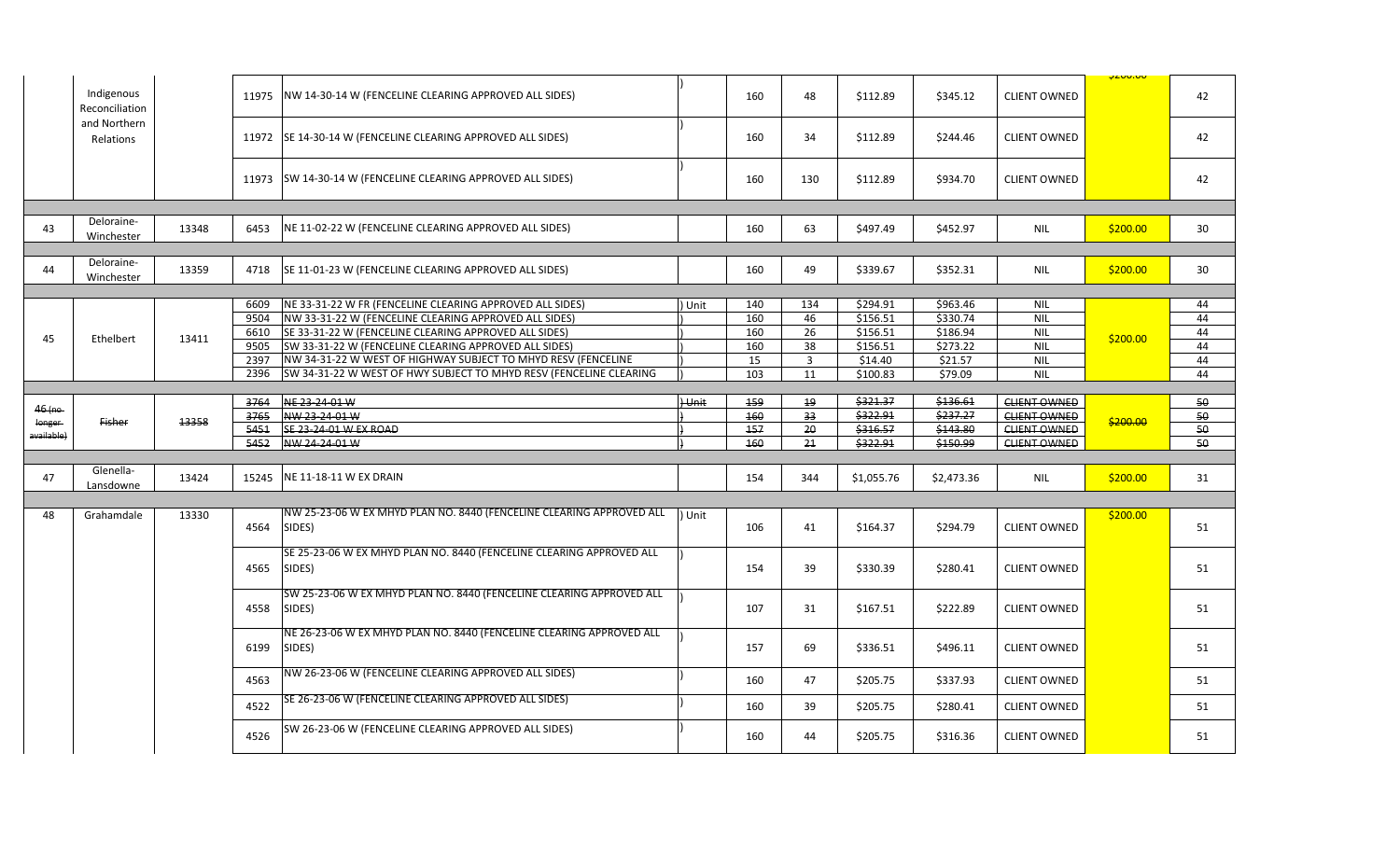|                   | Indigenous<br>Reconciliation |       | 11975        | NW 14-30-14 W (FENCELINE CLEARING APPROVED ALL SIDES)                          |              | 160        | 48             | \$112.89   | \$345.12   | <b>CLIENT OWNED</b> | <b>PLUU.UU</b> | 42 |
|-------------------|------------------------------|-------|--------------|--------------------------------------------------------------------------------|--------------|------------|----------------|------------|------------|---------------------|----------------|----|
|                   | and Northern<br>Relations    |       | 11972        | SE 14-30-14 W (FENCELINE CLEARING APPROVED ALL SIDES)                          |              | 160        | 34             | \$112.89   | \$244.46   | <b>CLIENT OWNED</b> |                | 42 |
|                   |                              |       | 11973        | SW 14-30-14 W (FENCELINE CLEARING APPROVED ALL SIDES)                          |              | 160        | 130            | \$112.89   | \$934.70   | <b>CLIENT OWNED</b> |                | 42 |
|                   |                              |       |              |                                                                                |              |            |                |            |            |                     |                |    |
| 43                | Deloraine-<br>Winchester     | 13348 | 6453         | NE 11-02-22 W (FENCELINE CLEARING APPROVED ALL SIDES)                          |              | 160        | 63             | \$497.49   | \$452.97   | NIL                 | \$200.00       | 30 |
|                   |                              |       |              |                                                                                |              |            |                |            |            |                     |                |    |
| 44                | Deloraine-<br>Winchester     | 13359 | 4718         | SE 11-01-23 W (FENCELINE CLEARING APPROVED ALL SIDES)                          |              | 160        | 49             | \$339.67   | \$352.31   | NIL                 | \$200.00       | 30 |
|                   |                              |       |              |                                                                                |              |            |                |            |            |                     |                |    |
|                   |                              |       | 6609         | NE 33-31-22 W FR (FENCELINE CLEARING APPROVED ALL SIDES)                       | Unit         | 140        | 134            | \$294.91   | \$963.46   | <b>NIL</b>          |                | 44 |
|                   |                              |       | 9504         | NW 33-31-22 W (FENCELINE CLEARING APPROVED ALL SIDES)                          |              | 160        | 46             | \$156.51   | \$330.74   | <b>NIL</b>          |                | 44 |
| 45                | Ethelbert                    | 13411 | 6610         | SE 33-31-22 W (FENCELINE CLEARING APPROVED ALL SIDES)                          |              | 160        | 26             | \$156.51   | \$186.94   | NIL                 | \$200.00       | 44 |
|                   |                              |       | 9505         | SW 33-31-22 W (FENCELINE CLEARING APPROVED ALL SIDES)                          |              | 160        | 38             | \$156.51   | \$273.22   | <b>NIL</b>          |                | 44 |
|                   |                              |       | 2397         | NW 34-31-22 W WEST OF HIGHWAY SUBJECT TO MHYD RESV (FENCELINE                  |              | 15         | $\overline{3}$ | \$14.40    | \$21.57    | <b>NIL</b>          |                | 44 |
|                   |                              |       | 2396         | SW 34-31-22 W WEST OF HWY SUBJECT TO MHYD RESV (FENCELINE CLEARING             |              | 103        | 11             | \$100.83   | \$79.09    | <b>NIL</b>          |                | 44 |
|                   |                              |       |              |                                                                                |              |            |                |            |            |                     |                |    |
| <del>46 (no</del> |                              |       | 3764         | NE 23-24-01 W                                                                  | <b>Hunit</b> | 159        | 19             | \$321.37   | \$136.61   | <b>CLIENT OWNED</b> |                | 50 |
| longer            | <b>Fisher</b>                | 13358 | 3765<br>5451 | NW 23-24-01 W                                                                  |              | 460<br>157 | 33             | \$322.91   | \$237.27   | <b>CLIENT OWNED</b> | \$200.00       | 50 |
|                   |                              |       |              | SE 23-24-01 W EX ROAD                                                          |              |            | 20             | \$316.57   | \$143.80   | <b>CLIENT OWNED</b> |                | 50 |
| available)        |                              |       |              |                                                                                |              |            |                |            |            |                     |                |    |
|                   |                              |       | 5452         | NW 24-24-01 W                                                                  |              | 160        | 21             | \$322.91   | \$150.99   | <b>CLIENT OWNED</b> |                | 50 |
|                   |                              |       |              |                                                                                |              |            |                |            |            |                     |                |    |
| 47                | Glenella-                    | 13424 | 15245        | NE 11-18-11 W EX DRAIN                                                         |              | 154        | 344            | \$1,055.76 | \$2,473.36 | <b>NIL</b>          | \$200.00       | 31 |
|                   | Lansdowne                    |       |              |                                                                                |              |            |                |            |            |                     |                |    |
|                   |                              |       |              |                                                                                |              |            |                |            |            |                     |                |    |
| 48                | Grahamdale                   | 13330 | 4564         | NW 25-23-06 W EX MHYD PLAN NO. 8440 (FENCELINE CLEARING APPROVED ALL<br>SIDES) | Unit         | 106        | 41             | \$164.37   | \$294.79   | <b>CLIENT OWNED</b> | \$200.00       | 51 |
|                   |                              |       | 4565         | SE 25-23-06 W EX MHYD PLAN NO. 8440 (FENCELINE CLEARING APPROVED ALL<br>SIDES) |              | 154        | 39             | \$330.39   | \$280.41   | <b>CLIENT OWNED</b> |                | 51 |
|                   |                              |       | 4558         | SW 25-23-06 W EX MHYD PLAN NO. 8440 (FENCELINE CLEARING APPROVED ALL<br>SIDES) |              | 107        | 31             | \$167.51   | \$222.89   | <b>CLIENT OWNED</b> |                | 51 |
|                   |                              |       | 6199         | NE 26-23-06 W EX MHYD PLAN NO. 8440 (FENCELINE CLEARING APPROVED ALL<br>SIDES) |              | 157        | 69             | \$336.51   | \$496.11   | <b>CLIENT OWNED</b> |                | 51 |
|                   |                              |       | 4563         | NW 26-23-06 W (FENCELINE CLEARING APPROVED ALL SIDES)                          |              | 160        | 47             | \$205.75   | \$337.93   | <b>CLIENT OWNED</b> |                | 51 |
|                   |                              |       | 4522         | SE 26-23-06 W (FENCELINE CLEARING APPROVED ALL SIDES)                          |              | 160        | 39             | \$205.75   | \$280.41   | <b>CLIENT OWNED</b> |                | 51 |
|                   |                              |       | 4526         | SW 26-23-06 W (FENCELINE CLEARING APPROVED ALL SIDES)                          |              | 160        | 44             | \$205.75   | \$316.36   | <b>CLIENT OWNED</b> |                | 51 |